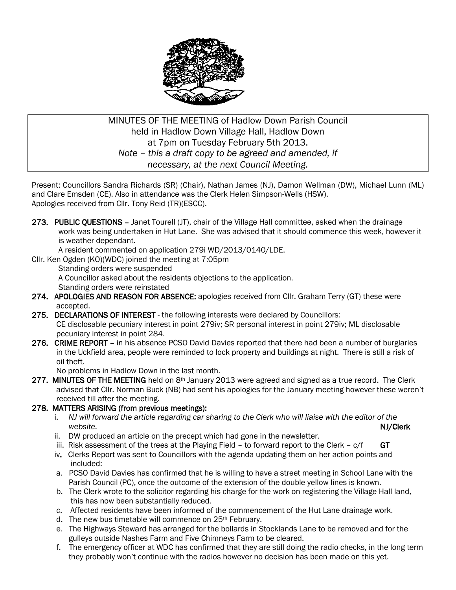

### MINUTES OF THE MEETING of Hadlow Down Parish Council held in Hadlow Down Village Hall, Hadlow Down at 7pm on Tuesday February 5th 2013. *Note – this a draft copy to be agreed and amended, if necessary, at the next Council Meeting.*

Present: Councillors Sandra Richards (SR) (Chair), Nathan James (NJ), Damon Wellman (DW), Michael Lunn (ML) and Clare Emsden (CE). Also in attendance was the Clerk Helen Simpson-Wells (HSW). Apologies received from Cllr. Tony Reid (TR)(ESCC).

273. PUBLIC OUESTIONS - Janet Tourell (JT), chair of the Village Hall committee, asked when the drainage work was being undertaken in Hut Lane. She was advised that it should commence this week, however it is weather dependant.

A resident commented on application 279i WD/2013/0140/LDE.

Cllr. Ken Ogden (KO)(WDC) joined the meeting at 7:05pm

Standing orders were suspended

A Councillor asked about the residents objections to the application.

Standing orders were reinstated

- 274. APOLOGIES AND REASON FOR ABSENCE: apologies received from Cllr. Graham Terry (GT) these were accepted.
- 275. DECLARATIONS OF INTEREST the following interests were declared by Councillors: CE disclosable pecuniary interest in point 279iv; SR personal interest in point 279iv; ML disclosable pecuniary interest in point 284.
- 276. CRIME REPORT in his absence PCSO David Davies reported that there had been a number of burglaries in the Uckfield area, people were reminded to lock property and buildings at night. There is still a risk of oil theft.

No problems in Hadlow Down in the last month.

277. MINUTES OF THE MEETING held on  $8<sup>th</sup>$  January 2013 were agreed and signed as a true record. The Clerk advised that Cllr. Norman Buck (NB) had sent his apologies for the January meeting however these weren't received till after the meeting.

### 278. MATTERS ARISING (from previous meetings):

- i. *NJ will forward the article regarding car sharing to the Clerk who will liaise with the editor of the website.* NJ/Clerk
	- ii. DW produced an article on the precept which had gone in the newsletter.
	- iii. Risk assessment of the trees at the Playing Field to forward report to the Clerk  $c/f$  GT
	- iv. Clerks Report was sent to Councillors with the agenda updating them on her action points and included:
	- a. PCSO David Davies has confirmed that he is willing to have a street meeting in School Lane with the Parish Council (PC), once the outcome of the extension of the double yellow lines is known.
	- b. The Clerk wrote to the solicitor regarding his charge for the work on registering the Village Hall land, this has now been substantially reduced.
	- c. Affected residents have been informed of the commencement of the Hut Lane drainage work.
	- d. The new bus timetable will commence on 25<sup>th</sup> February.
	- e. The Highways Steward has arranged for the bollards in Stocklands Lane to be removed and for the gulleys outside Nashes Farm and Five Chimneys Farm to be cleared.
	- f. The emergency officer at WDC has confirmed that they are still doing the radio checks, in the long term they probably won't continue with the radios however no decision has been made on this yet.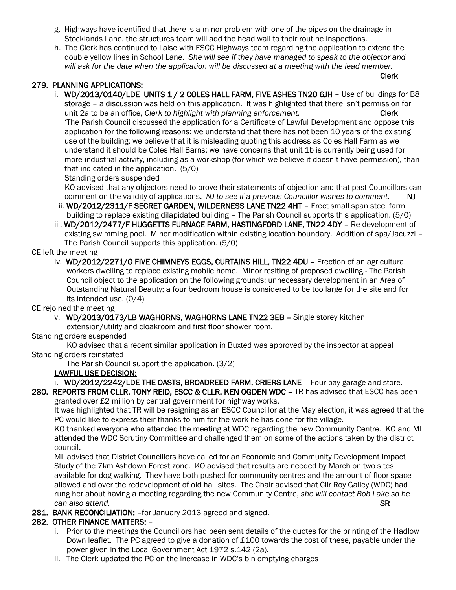- g. Highways have identified that there is a minor problem with one of the pipes on the drainage in Stocklands Lane, the structures team will add the head wall to their routine inspections.
- h. The Clerk has continued to liaise with ESCC Highways team regarding the application to extend the double yellow lines in School Lane. *She will see if they have managed to speak to the objector and will ask for the date when the application will be discussed at a meeting with the lead member.*

Clerk

#### 279. PLANNING APPLICATIONS:

i. WD/2013/0140/LDE UNITS 1 / 2 COLES HALL FARM, FIVE ASHES TN20 6JH - Use of buildings for B8 storage – a discussion was held on this application. It was highlighted that there isn't permission for unit 2a to be an office, *Clerk to highlight with planning enforcement*. Clerk 'The Parish Council discussed the application for a Certificate of Lawful Development and oppose this application for the following reasons: we understand that there has not been 10 years of the existing use of the building; we believe that it is misleading quoting this address as Coles Hall Farm as we understand it should be Coles Hall Barns; we have concerns that unit 1b is currently being used for more industrial activity, including as a workshop (for which we believe it doesn't have permission), than that indicated in the application. (5/0)

Standing orders suspended

 KO advised that any objectors need to prove their statements of objection and that past Councillors can comment on the validity of applications. *NJ to see if a previous Councillor wishes to comment.* NJ

- ii. WD/2012/2311/F SECRET GARDEN, WILDERNESS LANE TN22 4HT Erect small span steel farm building to replace existing dilapidated building – The Parish Council supports this application. (5/0)
- iii. WD/2012/2477/F HUGGETTS FURNACE FARM, HASTINGFORD LANE, TN22 4DY Re-development of existing swimming pool. Minor modification within existing location boundary. Addition of spa/Jacuzzi – The Parish Council supports this application. (5/0)

#### CE left the meeting

 iv. WD/2012/2271/O FIVE CHIMNEYS EGGS, CURTAINS HILL, TN22 4DU – Erection of an agricultural workers dwelling to replace existing mobile home. Minor resiting of proposed dwelling.- The Parish Council object to the application on the following grounds: unnecessary development in an Area of Outstanding Natural Beauty; a four bedroom house is considered to be too large for the site and for its intended use. (0/4)

CE rejoined the meeting

v. WD/2013/0173/LB WAGHORNS, WAGHORNS LANE TN22 3EB – Single storey kitchen

extension/utility and cloakroom and first floor shower room.

Standing orders suspended

 KO advised that a recent similar application in Buxted was approved by the inspector at appeal Standing orders reinstated

The Parish Council support the application. (3/2)

#### LAWFUL USE DECISION:

i. WD/2012/2242/LDE THE OASTS, BROADREED FARM, CRIERS LANE - Four bay garage and store. 280. REPORTS FROM CLLR. TONY REID, ESCC & CLLR. KEN OGDEN WDC – TR has advised that ESCC has been

granted over £2 million by central government for highway works.

 It was highlighted that TR will be resigning as an ESCC Councillor at the May election, it was agreed that the PC would like to express their thanks to him for the work he has done for the village.

 KO thanked everyone who attended the meeting at WDC regarding the new Community Centre. KO and ML attended the WDC Scrutiny Committee and challenged them on some of the actions taken by the district council.

 ML advised that District Councillors have called for an Economic and Community Development Impact Study of the 7km Ashdown Forest zone. KO advised that results are needed by March on two sites available for dog walking. They have both pushed for community centres and the amount of floor space allowed and over the redevelopment of old hall sites. The Chair advised that Cllr Roy Galley (WDC) had rung her about having a meeting regarding the new Community Centre, *she will contact Bob Lake so he can also attend.* SR

281. BANK RECONCILIATION: - for January 2013 agreed and signed.

### 282. OTHER FINANCE MATTERS: –

- i. Prior to the meetings the Councillors had been sent details of the quotes for the printing of the Hadlow Down leaflet. The PC agreed to give a donation of £100 towards the cost of these, payable under the power given in the Local Government Act 1972 s.142 (2a).
- ii. The Clerk updated the PC on the increase in WDC's bin emptying charges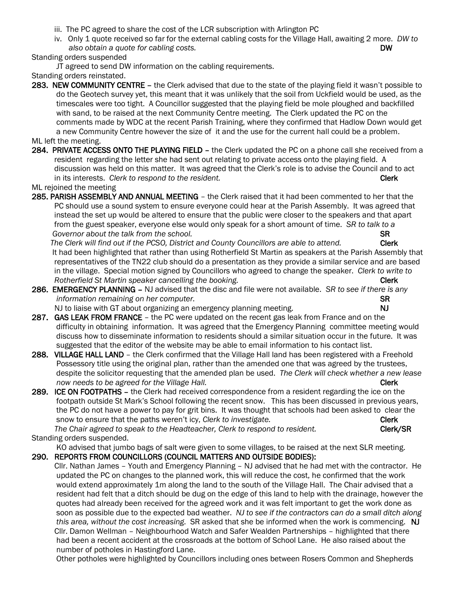- iii. The PC agreed to share the cost of the LCR subscription with Arlington PC
- iv. Only 1 quote received so far for the external cabling costs for the Village Hall, awaiting 2 more. *DW to also obtain a quote for cabling costs.* DW

### Standing orders suspended

JT agreed to send DW information on the cabling requirements.

Standing orders reinstated.

283. NEW COMMUNITY CENTRE – the Clerk advised that due to the state of the playing field it wasn't possible to do the Geotech survey yet, this meant that it was unlikely that the soil from Uckfield would be used, as the timescales were too tight. A Councillor suggested that the playing field be mole ploughed and backfilled with sand, to be raised at the next Community Centre meeting. The Clerk updated the PC on the comments made by WDC at the recent Parish Training, where they confirmed that Hadlow Down would get a new Community Centre however the size of it and the use for the current hall could be a problem.

#### ML left the meeting.

284. PRIVATE ACCESS ONTO THE PLAYING FIELD – the Clerk updated the PC on a phone call she received from a resident regarding the letter she had sent out relating to private access onto the playing field. A discussion was held on this matter. It was agreed that the Clerk's role is to advise the Council and to act in its interests. *Clerk to respond to the resident.* Clerk and the research of the responding of the responding of the resident.

ML rejoined the meeting

285. PARISH ASSEMBLY AND ANNUAL MEETING – the Clerk raised that it had been commented to her that the PC should use a sound system to ensure everyone could hear at the Parish Assembly. It was agreed that instead the set up would be altered to ensure that the public were closer to the speakers and that apart from the guest speaker, everyone else would only speak for a short amount of time. *SR to talk to a*  **Governor about the talk from the school. SR** 

 *The Clerk will find out if the PCSO, District and County Councillors are able to attend.* Clerk It had been highlighted that rather than using Rotherfield St Martin as speakers at the Parish Assembly that representatives of the TN22 club should do a presentation as they provide a similar service and are based in the village. Special motion signed by Councillors who agreed to change the speaker. *Clerk to write to Rotherfield St Martin speaker cancelling the booking.* The state of the control of the Clerk

- 286. EMERGENCY PLANNING NJ advised that the disc and file were not available. *SR to see if there is any information remaining on her computer.* See a set of the set of the set of the set of the set of the set of the set of the set of the set of the set of the set of the set of the set of the set of the set of the set of the
	- NJ to liaise with GT about organizing an emergency planning meeting. NJ
- 287. GAS LEAK FROM FRANCE the PC were updated on the recent gas leak from France and on the difficulty in obtaining information. It was agreed that the Emergency Planning committee meeting would discuss how to disseminate information to residents should a similar situation occur in the future. It was suggested that the editor of the website may be able to email information to his contact list.
- 288. VILLAGE HALL LAND the Clerk confirmed that the Village Hall land has been registered with a Freehold Possessory title using the original plan, rather than the amended one that was agreed by the trustees, despite the solicitor requesting that the amended plan be used. *The Clerk will check whether a new lease now needs to be agreed for the Village Hall.* And the comparison of the Clerk Clerk
- 289. ICE ON FOOTPATHS the Clerk had received correspondence from a resident regarding the ice on the footpath outside St Mark's School following the recent snow. This has been discussed in previous years, the PC do not have a power to pay for grit bins. It was thought that schools had been asked to clear the snow to ensure that the paths weren't icy, *Clerk to investigate.* Clerk Clerk

The Chair agreed to speak to the Headteacher, Clerk to respond to resident. **Clerk/SR** Standing orders suspended*.*

KO advised that jumbo bags of salt were given to some villages, to be raised at the next SLR meeting. 290. REPORTS FROM COUNCILLORS (COUNCIL MATTERS AND OUTSIDE BODIES):

 Cllr. Nathan James – Youth and Emergency Planning – NJ advised that he had met with the contractor. He updated the PC on changes to the planned work, this will reduce the cost, he confirmed that the work would extend approximately 1m along the land to the south of the Village Hall. The Chair advised that a resident had felt that a ditch should be dug on the edge of this land to help with the drainage, however the quotes had already been received for the agreed work and it was felt important to get the work done as soon as possible due to the expected bad weather. *NJ to see if the contractors can do a small ditch along this area, without the cost increasing.* SR asked that she be informed when the work is commencing. NJ Cllr. Damon Wellman – Neighbourhood Watch and Safer Wealden Partnerships – highlighted that there had been a recent accident at the crossroads at the bottom of School Lane. He also raised about the number of potholes in Hastingford Lane.

Other potholes were highlighted by Councillors including ones between Rosers Common and Shepherds